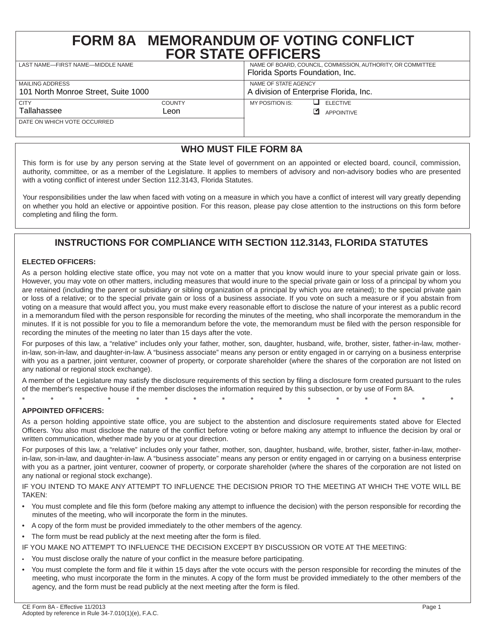## **FORM 8A MEMORANDUM OF VOTING CONFLICT FOR STATE OFFICERS**

| LAST NAME-FIRST NAME-MIDDLE NAME    |               | NAME OF BOARD, COUNCIL, COMMISSION, AUTHORITY, OR COMMITTEE<br>Florida Sports Foundation, Inc. |
|-------------------------------------|---------------|------------------------------------------------------------------------------------------------|
| <b>MAILING ADDRESS</b>              |               | NAME OF STATE AGENCY                                                                           |
| 101 North Monroe Street, Suite 1000 |               | A division of Enterprise Florida, Inc.                                                         |
| <b>CITY</b>                         | <b>COUNTY</b> | <b>ELECTIVE</b><br>MY POSITION IS:                                                             |
| Tallahassee                         | _eon          | ণ<br><b>APPOINTIVE</b>                                                                         |
| DATE ON WHICH VOTE OCCURRED         |               |                                                                                                |

## **WHO MUST FILE FORM 8A**

This form is for use by any person serving at the State level of government on an appointed or elected board, council, commission, authority, committee, or as a member of the Legislature. It applies to members of advisory and non-advisory bodies who are presented with a voting conflict of interest under Section 112.3143, Florida Statutes.

Your responsibilities under the law when faced with voting on a measure in which you have a conflict of interest will vary greatly depending on whether you hold an elective or appointive position. For this reason, please pay close attention to the instructions on this form before completing and filing the form.

## **INSTRUCTIONS FOR COMPLIANCE WITH SECTION 112.3143, FLORIDA STATUTES**

## **ELECTED OFFICERS:**

As a person holding elective state office, you may not vote on a matter that you know would inure to your special private gain or loss. However, you may vote on other matters, including measures that would inure to the special private gain or loss of a principal by whom you are retained (including the parent or subsidiary or sibling organization of a principal by which you are retained); to the special private gain or loss of a relative; or to the special private gain or loss of a business associate. If you vote on such a measure or if you abstain from voting on a measure that would affect you, you must make every reasonable effort to disclose the nature of your interest as a public record in a memorandum filed with the person responsible for recording the minutes of the meeting, who shall incorporate the memorandum in the minutes. If it is not possible for you to file a memorandum before the vote, the memorandum must be filed with the person responsible for recording the minutes of the meeting no later than 15 days after the vote.

For purposes of this law, a "relative" includes only your father, mother, son, daughter, husband, wife, brother, sister, father-in-law, motherin-law, son-in-law, and daughter-in-law. A "business associate" means any person or entity engaged in or carrying on a business enterprise with you as a partner, joint venturer, coowner of property, or corporate shareholder (where the shares of the corporation are not listed on any national or regional stock exchange).

A member of the Legislature may satisfy the disclosure requirements of this section by filing a disclosure form created pursuant to the rules of the member's respective house if the member discloses the information required by this subsection, or by use of Form 8A.

\* \* \* \* \* \* \* \* \* \* \* \* \* \* \* \* **APPOINTED OFFICERS:**

As a person holding appointive state office, you are subject to the abstention and disclosure requirements stated above for Elected Officers. You also must disclose the nature of the conflict before voting or before making any attempt to influence the decision by oral or written communication, whether made by you or at your direction.

For purposes of this law, a "relative" includes only your father, mother, son, daughter, husband, wife, brother, sister, father-in-law, motherin-law, son-in-law, and daughter-in-law. A "business associate" means any person or entity engaged in or carrying on a business enterprise with you as a partner, joint venturer, coowner of property, or corporate shareholder (where the shares of the corporation are not listed on any national or regional stock exchange).

IF YOU INTEND TO MAKE ANY ATTEMPT TO INFLUENCE THE DECISION PRIOR TO THE MEETING AT WHICH THE VOTE WILL BE TAKEN:

- You must complete and file this form (before making any attempt to influence the decision) with the person responsible for recording the minutes of the meeting, who will incorporate the form in the minutes.
- A copy of the form must be provided immediately to the other members of the agency.

• The form must be read publicly at the next meeting after the form is filed.

- IF YOU MAKE NO ATTEMPT TO INFLUENCE THE DECISION EXCEPT BY DISCUSSION OR VOTE AT THE MEETING:
- You must disclose orally the nature of your conflict in the measure before participating.
- You must complete the form and file it within 15 days after the vote occurs with the person responsible for recording the minutes of the meeting, who must incorporate the form in the minutes. A copy of the form must be provided immediately to the other members of the agency, and the form must be read publicly at the next meeting after the form is filed.